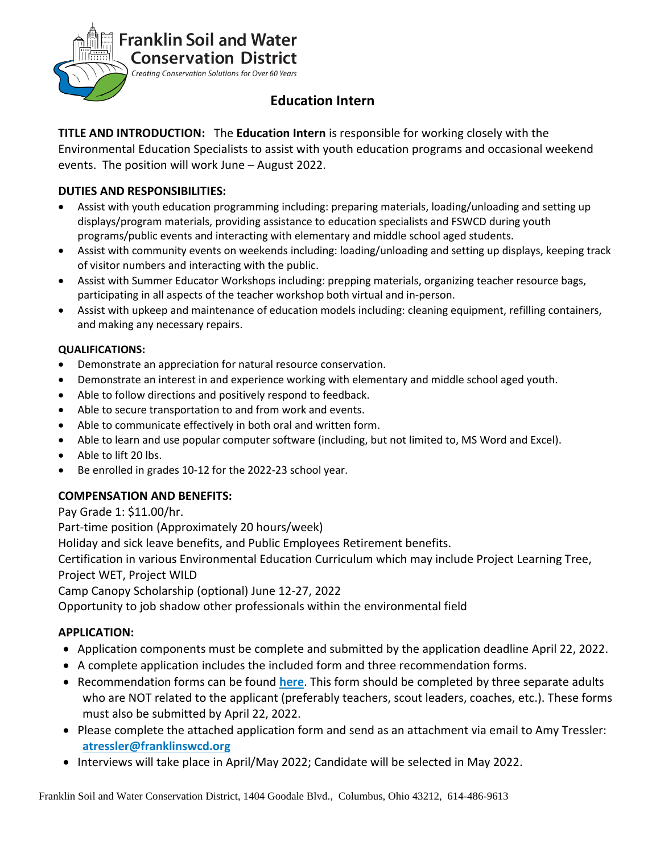

# **Education Intern**

**TITLE AND INTRODUCTION:** The **Education Intern** is responsible for working closely with the Environmental Education Specialists to assist with youth education programs and occasional weekend events. The position will work June – August 2022.

## **DUTIES AND RESPONSIBILITIES:**

- Assist with youth education programming including: preparing materials, loading/unloading and setting up displays/program materials, providing assistance to education specialists and FSWCD during youth programs/public events and interacting with elementary and middle school aged students.
- Assist with community events on weekends including: loading/unloading and setting up displays, keeping track of visitor numbers and interacting with the public.
- Assist with Summer Educator Workshops including: prepping materials, organizing teacher resource bags, participating in all aspects of the teacher workshop both virtual and in-person.
- Assist with upkeep and maintenance of education models including: cleaning equipment, refilling containers, and making any necessary repairs.

#### **QUALIFICATIONS:**

- Demonstrate an appreciation for natural resource conservation.
- Demonstrate an interest in and experience working with elementary and middle school aged youth.
- Able to follow directions and positively respond to feedback.
- Able to secure transportation to and from work and events.
- Able to communicate effectively in both oral and written form.
- Able to learn and use popular computer software (including, but not limited to, MS Word and Excel).
- Able to lift 20 lbs.
- Be enrolled in grades 10-12 for the 2022-23 school year.

#### **COMPENSATION AND BENEFITS:**

Pay Grade 1: \$11.00/hr.

Part-time position (Approximately 20 hours/week)

Holiday and sick leave benefits, and Public Employees Retirement benefits.

Certification in various Environmental Education Curriculum which may include Project Learning Tree, Project WET, Project WILD

Camp Canopy Scholarship (optional) June 12-27, 2022

Opportunity to job shadow other professionals within the environmental field

## **APPLICATION:**

- Application components must be complete and submitted by the application deadline April 22, 2022.
- A complete application includes the included form and three recommendation forms.
- Recommendation forms can be found **[here](https://forms.gle/3h6ZxazHvJcZKHwn9)**. This form should be completed by three separate adults who are NOT related to the applicant (preferably teachers, scout leaders, coaches, etc.). These forms must also be submitted by April 22, 2022.
- Please complete the attached application form and send as an attachment via email to Amy Tressler: **[atressler@franklinswcd.org](mailto:atressler@franklinswcd.org)**
- Interviews will take place in April/May 2022; Candidate will be selected in May 2022.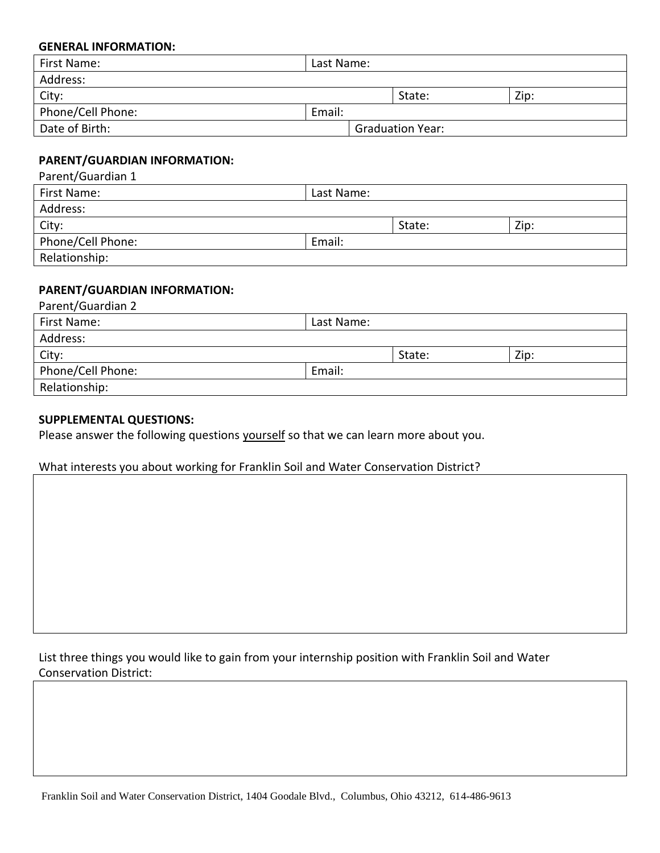#### **GENERAL INFORMATION:**

| First Name:       | Last Name: |                         |      |  |
|-------------------|------------|-------------------------|------|--|
| Address:          |            |                         |      |  |
| City:             |            | State:                  | Zip: |  |
| Phone/Cell Phone: | Email:     |                         |      |  |
| Date of Birth:    |            | <b>Graduation Year:</b> |      |  |

#### **PARENT/GUARDIAN INFORMATION:**

Parent/Guardian 1

| First Name:       | Last Name: |        |      |  |  |
|-------------------|------------|--------|------|--|--|
| Address:          |            |        |      |  |  |
| City:             |            | State: | Zip: |  |  |
| Phone/Cell Phone: | Email:     |        |      |  |  |
| Relationship:     |            |        |      |  |  |

#### **PARENT/GUARDIAN INFORMATION:**

| Parent/Guardian 2 |            |        |      |  |
|-------------------|------------|--------|------|--|
| First Name:       | Last Name: |        |      |  |
| Address:          |            |        |      |  |
| City:             |            | State: | Zip: |  |
| Phone/Cell Phone: | Email:     |        |      |  |
| Relationship:     |            |        |      |  |
|                   |            |        |      |  |

#### **SUPPLEMENTAL QUESTIONS:**

Please answer the following questions yourself so that we can learn more about you.

#### What interests you about working for Franklin Soil and Water Conservation District?

List three things you would like to gain from your internship position with Franklin Soil and Water Conservation District: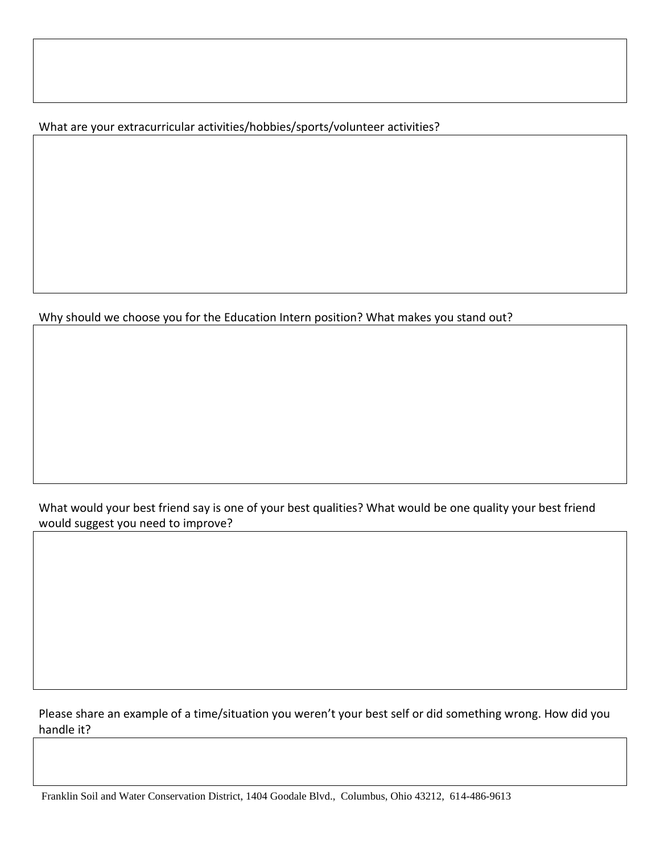What are your extracurricular activities/hobbies/sports/volunteer activities?

Why should we choose you for the Education Intern position? What makes you stand out?

What would your best friend say is one of your best qualities? What would be one quality your best friend would suggest you need to improve?

Please share an example of a time/situation you weren't your best self or did something wrong. How did you handle it?

Franklin Soil and Water Conservation District, 1404 Goodale Blvd., Columbus, Ohio 43212, 614-486-9613